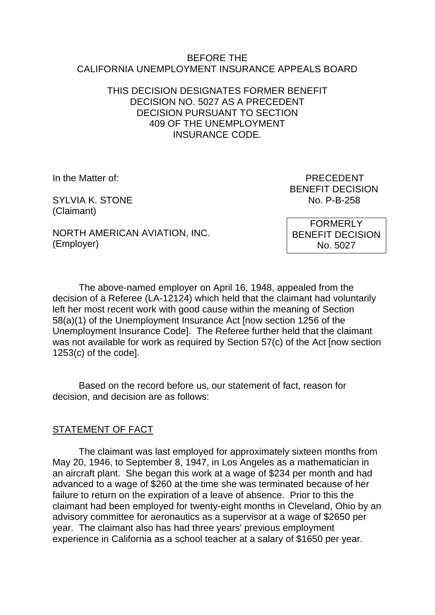#### BEFORE THE CALIFORNIA UNEMPLOYMENT INSURANCE APPEALS BOARD

### THIS DECISION DESIGNATES FORMER BENEFIT DECISION NO. 5027 AS A PRECEDENT DECISION PURSUANT TO SECTION 409 OF THE UNEMPLOYMENT INSURANCE CODE.

SYLVIA K. STONE NO. P-B-258 (Claimant)

In the Matter of: PRECEDENT BENEFIT DECISION

NORTH AMERICAN AVIATION, INC. (Employer)

FORMERLY BENEFIT DECISION No. 5027

The above-named employer on April 16, 1948, appealed from the decision of a Referee (LA-12124) which held that the claimant had voluntarily left her most recent work with good cause within the meaning of Section 58(a)(1) of the Unemployment Insurance Act [now section 1256 of the Unemployment Insurance Code]. The Referee further held that the claimant was not available for work as required by Section 57(c) of the Act [now section 1253(c) of the code].

Based on the record before us, our statement of fact, reason for decision, and decision are as follows:

# STATEMENT OF FACT

The claimant was last employed for approximately sixteen months from May 20, 1946, to September 8, 1947, in Los Angeles as a mathematician in an aircraft plant. She began this work at a wage of \$234 per month and had advanced to a wage of \$260 at the time she was terminated because of her failure to return on the expiration of a leave of absence. Prior to this the claimant had been employed for twenty-eight months in Cleveland, Ohio by an advisory committee for aeronautics as a supervisor at a wage of \$2650 per year. The claimant also has had three years' previous employment experience in California as a school teacher at a salary of \$1650 per year.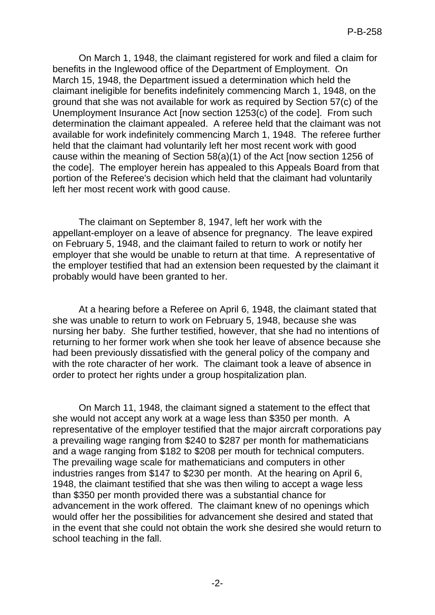On March 1, 1948, the claimant registered for work and filed a claim for benefits in the Inglewood office of the Department of Employment. On March 15, 1948, the Department issued a determination which held the claimant ineligible for benefits indefinitely commencing March 1, 1948, on the ground that she was not available for work as required by Section 57(c) of the Unemployment Insurance Act [now section 1253(c) of the code]. From such determination the claimant appealed. A referee held that the claimant was not available for work indefinitely commencing March 1, 1948. The referee further held that the claimant had voluntarily left her most recent work with good cause within the meaning of Section 58(a)(1) of the Act [now section 1256 of the code]. The employer herein has appealed to this Appeals Board from that portion of the Referee's decision which held that the claimant had voluntarily left her most recent work with good cause.

The claimant on September 8, 1947, left her work with the appellant-employer on a leave of absence for pregnancy. The leave expired on February 5, 1948, and the claimant failed to return to work or notify her employer that she would be unable to return at that time. A representative of the employer testified that had an extension been requested by the claimant it probably would have been granted to her.

At a hearing before a Referee on April 6, 1948, the claimant stated that she was unable to return to work on February 5, 1948, because she was nursing her baby. She further testified, however, that she had no intentions of returning to her former work when she took her leave of absence because she had been previously dissatisfied with the general policy of the company and with the rote character of her work. The claimant took a leave of absence in order to protect her rights under a group hospitalization plan.

On March 11, 1948, the claimant signed a statement to the effect that she would not accept any work at a wage less than \$350 per month. A representative of the employer testified that the major aircraft corporations pay a prevailing wage ranging from \$240 to \$287 per month for mathematicians and a wage ranging from \$182 to \$208 per mouth for technical computers. The prevailing wage scale for mathematicians and computers in other industries ranges from \$147 to \$230 per month. At the hearing on April 6, 1948, the claimant testified that she was then wiling to accept a wage less than \$350 per month provided there was a substantial chance for advancement in the work offered. The claimant knew of no openings which would offer her the possibilities for advancement she desired and stated that in the event that she could not obtain the work she desired she would return to school teaching in the fall.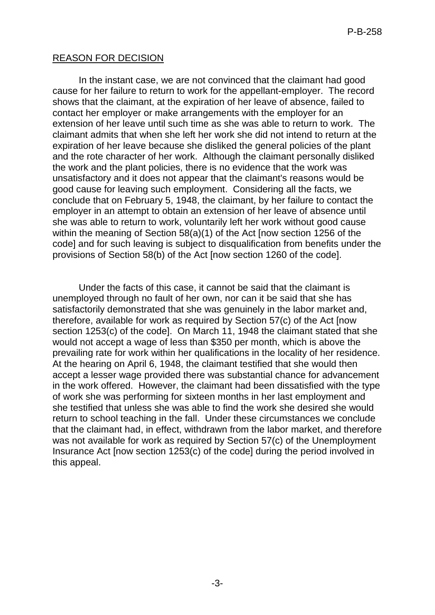## REASON FOR DECISION

In the instant case, we are not convinced that the claimant had good cause for her failure to return to work for the appellant-employer. The record shows that the claimant, at the expiration of her leave of absence, failed to contact her employer or make arrangements with the employer for an extension of her leave until such time as she was able to return to work. The claimant admits that when she left her work she did not intend to return at the expiration of her leave because she disliked the general policies of the plant and the rote character of her work. Although the claimant personally disliked the work and the plant policies, there is no evidence that the work was unsatisfactory and it does not appear that the claimant's reasons would be good cause for leaving such employment. Considering all the facts, we conclude that on February 5, 1948, the claimant, by her failure to contact the employer in an attempt to obtain an extension of her leave of absence until she was able to return to work, voluntarily left her work without good cause within the meaning of Section 58(a)(1) of the Act [now section 1256 of the code] and for such leaving is subject to disqualification from benefits under the provisions of Section 58(b) of the Act [now section 1260 of the code].

Under the facts of this case, it cannot be said that the claimant is unemployed through no fault of her own, nor can it be said that she has satisfactorily demonstrated that she was genuinely in the labor market and, therefore, available for work as required by Section 57(c) of the Act [now section 1253(c) of the code]. On March 11, 1948 the claimant stated that she would not accept a wage of less than \$350 per month, which is above the prevailing rate for work within her qualifications in the locality of her residence. At the hearing on April 6, 1948, the claimant testified that she would then accept a lesser wage provided there was substantial chance for advancement in the work offered. However, the claimant had been dissatisfied with the type of work she was performing for sixteen months in her last employment and she testified that unless she was able to find the work she desired she would return to school teaching in the fall. Under these circumstances we conclude that the claimant had, in effect, withdrawn from the labor market, and therefore was not available for work as required by Section 57(c) of the Unemployment Insurance Act [now section 1253(c) of the code] during the period involved in this appeal.